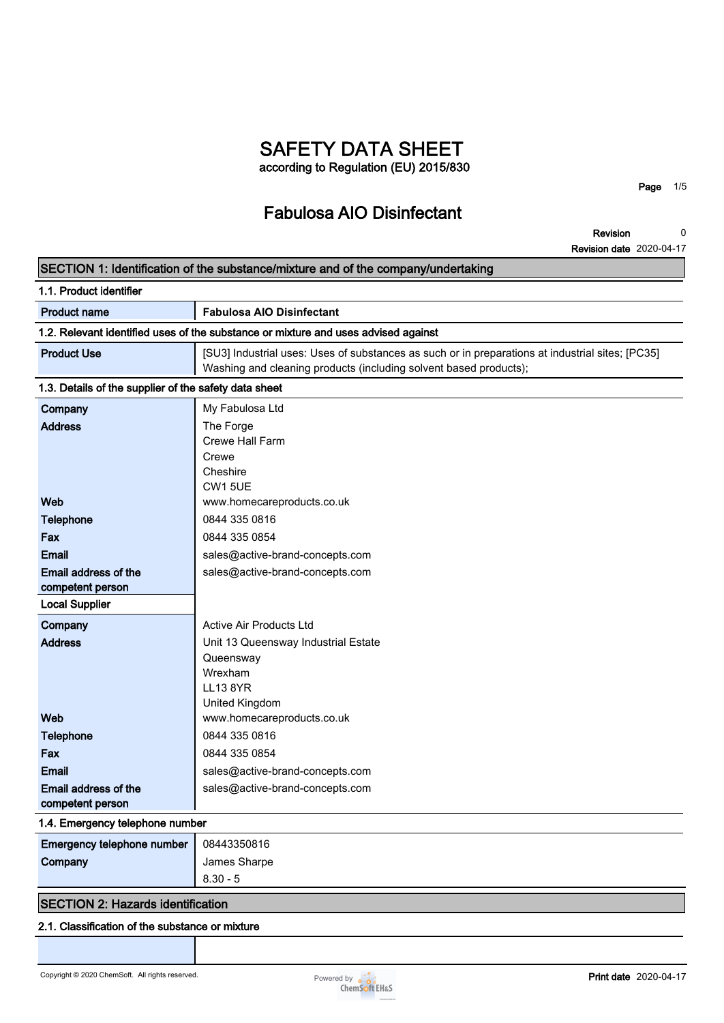# **SAFETY DATA SHEET according to Regulation (EU) 2015/830**

# **Fabulosa AIO Disinfectant**

**Page 1/5**

**Revision 0**

|                                                       | <b>Revision date</b> 2020-04-17                                                                                                                                       |
|-------------------------------------------------------|-----------------------------------------------------------------------------------------------------------------------------------------------------------------------|
|                                                       | SECTION 1: Identification of the substance/mixture and of the company/undertaking                                                                                     |
| 1.1. Product identifier                               |                                                                                                                                                                       |
| <b>Product name</b>                                   | <b>Fabulosa AIO Disinfectant</b>                                                                                                                                      |
|                                                       | 1.2. Relevant identified uses of the substance or mixture and uses advised against                                                                                    |
| <b>Product Use</b>                                    | [SU3] Industrial uses: Uses of substances as such or in preparations at industrial sites; [PC35]<br>Washing and cleaning products (including solvent based products); |
| 1.3. Details of the supplier of the safety data sheet |                                                                                                                                                                       |
| Company                                               | My Fabulosa Ltd                                                                                                                                                       |
| <b>Address</b>                                        | The Forge                                                                                                                                                             |
|                                                       | Crewe Hall Farm                                                                                                                                                       |
|                                                       | Crewe                                                                                                                                                                 |
|                                                       | Cheshire                                                                                                                                                              |
| Web                                                   | <b>CW1 5UE</b><br>www.homecareproducts.co.uk                                                                                                                          |
| <b>Telephone</b>                                      | 0844 335 0816                                                                                                                                                         |
|                                                       | 0844 335 0854                                                                                                                                                         |
| Fax                                                   |                                                                                                                                                                       |
| Email                                                 | sales@active-brand-concepts.com                                                                                                                                       |
| Email address of the<br>competent person              | sales@active-brand-concepts.com                                                                                                                                       |
| <b>Local Supplier</b>                                 |                                                                                                                                                                       |
| Company                                               | Active Air Products Ltd                                                                                                                                               |
| <b>Address</b>                                        | Unit 13 Queensway Industrial Estate                                                                                                                                   |
|                                                       | Queensway                                                                                                                                                             |
|                                                       | Wrexham                                                                                                                                                               |
|                                                       | <b>LL13 8YR</b>                                                                                                                                                       |
|                                                       | United Kingdom                                                                                                                                                        |
| Web                                                   | www.homecareproducts.co.uk                                                                                                                                            |
| <b>Telephone</b>                                      | 0844 335 0816                                                                                                                                                         |
| Fax                                                   | 0844 335 0854                                                                                                                                                         |
| <b>Email</b>                                          | sales@active-brand-concepts.com                                                                                                                                       |
| Email address of the<br>competent person              | sales@active-brand-concepts.com                                                                                                                                       |
| 1.4. Emergency telephone number                       |                                                                                                                                                                       |
| Emergency telephone number                            | 08443350816                                                                                                                                                           |
| Company                                               | James Sharpe                                                                                                                                                          |
|                                                       |                                                                                                                                                                       |

# **SECTION 2: Hazards identification**

# **2.1. Classification of the substance or mixture**

**8.30 - 5**

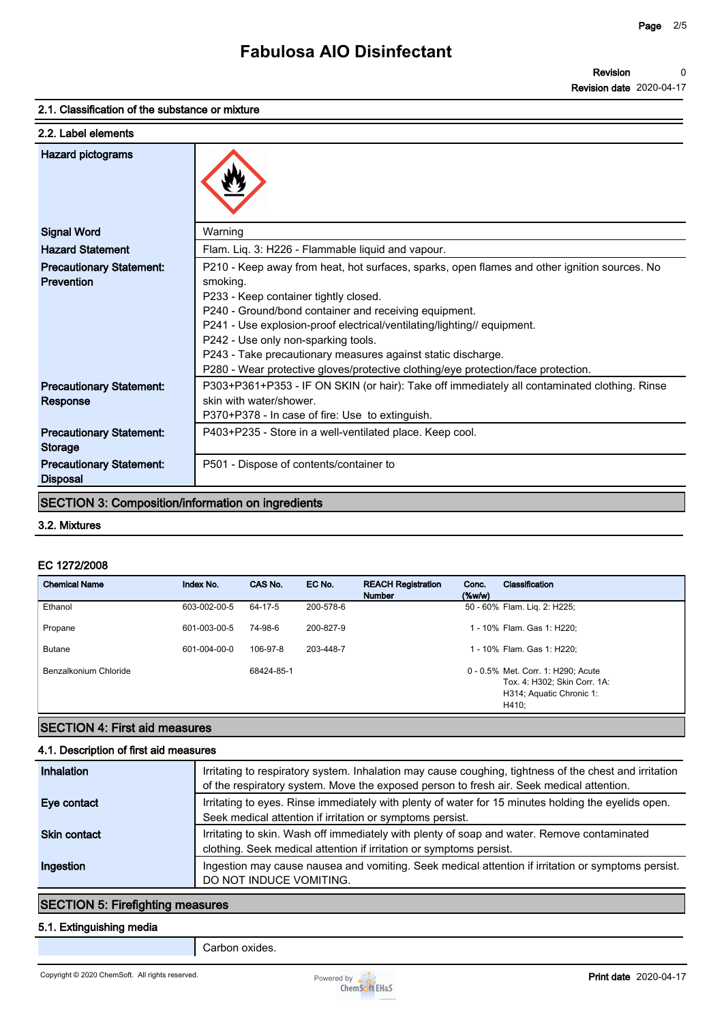#### **2.1. Classification of the substance or mixture**

| 2.2. Label elements                                |                                                                                                                                                   |
|----------------------------------------------------|---------------------------------------------------------------------------------------------------------------------------------------------------|
| <b>Hazard pictograms</b>                           |                                                                                                                                                   |
| <b>Signal Word</b>                                 | Warning                                                                                                                                           |
| <b>Hazard Statement</b>                            | Flam. Liq. 3: H226 - Flammable liquid and vapour.                                                                                                 |
| <b>Precautionary Statement:</b><br>Prevention      | P210 - Keep away from heat, hot surfaces, sparks, open flames and other ignition sources. No<br>smoking.<br>P233 - Keep container tightly closed. |
|                                                    | P240 - Ground/bond container and receiving equipment.                                                                                             |
|                                                    | P241 - Use explosion-proof electrical/ventilating/lighting// equipment.                                                                           |
|                                                    | P242 - Use only non-sparking tools.                                                                                                               |
|                                                    | P243 - Take precautionary measures against static discharge.                                                                                      |
|                                                    | P280 - Wear protective gloves/protective clothing/eye protection/face protection.                                                                 |
| <b>Precautionary Statement:</b><br>Response        | P303+P361+P353 - IF ON SKIN (or hair): Take off immediately all contaminated clothing. Rinse<br>skin with water/shower.                           |
|                                                    | P370+P378 - In case of fire: Use to extinguish.                                                                                                   |
| <b>Precautionary Statement:</b><br><b>Storage</b>  | P403+P235 - Store in a well-ventilated place. Keep cool.                                                                                          |
| <b>Precautionary Statement:</b><br><b>Disposal</b> | P501 - Dispose of contents/container to                                                                                                           |
|                                                    | <b>SECTION 3: Composition/information on ingredients</b>                                                                                          |
| 3.2. Mixtures                                      |                                                                                                                                                   |
| EC 1272/2008                                       |                                                                                                                                                   |
| <b>Chemical Name</b>                               | Index No.<br>CAS No.<br>EC No.<br><b>REACH Registration</b><br>Classification<br>Conc.<br><b>Number</b><br>(%                                     |
| Ethanol                                            | 50 - 60% Flam. Liq. 2: H225;<br>603-002-00-5<br>64-17-5<br>200-578-6                                                                              |

#### **3.2. Mixtures**

#### **EC 1272/2008**

| <b>Disposal</b>                                          |              |            |           |                                            |                    |                                                                                                         |
|----------------------------------------------------------|--------------|------------|-----------|--------------------------------------------|--------------------|---------------------------------------------------------------------------------------------------------|
| <b>SECTION 3: Composition/information on ingredients</b> |              |            |           |                                            |                    |                                                                                                         |
| 3.2. Mixtures                                            |              |            |           |                                            |                    |                                                                                                         |
| EC 1272/2008                                             |              |            |           |                                            |                    |                                                                                                         |
| <b>Chemical Name</b>                                     | Index No.    | CAS No.    | EC No.    | <b>REACH Registration</b><br><b>Number</b> | Conc.<br>$(\%w/w)$ | <b>Classification</b>                                                                                   |
| Ethanol                                                  | 603-002-00-5 | 64-17-5    | 200-578-6 |                                            |                    | 50 - 60% Flam. Liq. 2: H225;                                                                            |
| Propane                                                  | 601-003-00-5 | 74-98-6    | 200-827-9 |                                            |                    | 1 - 10% Flam. Gas 1: H220;                                                                              |
| <b>Butane</b>                                            | 601-004-00-0 | 106-97-8   | 203-448-7 |                                            |                    | 1 - 10% Flam. Gas 1: H220;                                                                              |
| Benzalkonium Chloride                                    |              | 68424-85-1 |           |                                            |                    | 0 - 0.5% Met. Corr. 1: H290; Acute<br>Tox. 4: H302; Skin Corr. 1A:<br>H314; Aquatic Chronic 1:<br>H410; |

## **SECTION 4: First aid measures**

#### **4.1. Description of first aid measures**

| Inhalation          | Irritating to respiratory system. Inhalation may cause coughing, tightness of the chest and irritation<br>of the respiratory system. Move the exposed person to fresh air. Seek medical attention. |
|---------------------|----------------------------------------------------------------------------------------------------------------------------------------------------------------------------------------------------|
| Eye contact         | Irritating to eyes. Rinse immediately with plenty of water for 15 minutes holding the evelids open.<br>Seek medical attention if irritation or symptoms persist.                                   |
| <b>Skin contact</b> | Irritating to skin. Wash off immediately with plenty of soap and water. Remove contaminated<br>clothing. Seek medical attention if irritation or symptoms persist.                                 |
| Ingestion           | Ingestion may cause nausea and vomiting. Seek medical attention if irritation or symptoms persist.<br>DO NOT INDUCE VOMITING.                                                                      |

# **SECTION 5: Firefighting measures**

#### **5.1. Extinguishing media**

**Carbon oxides.**

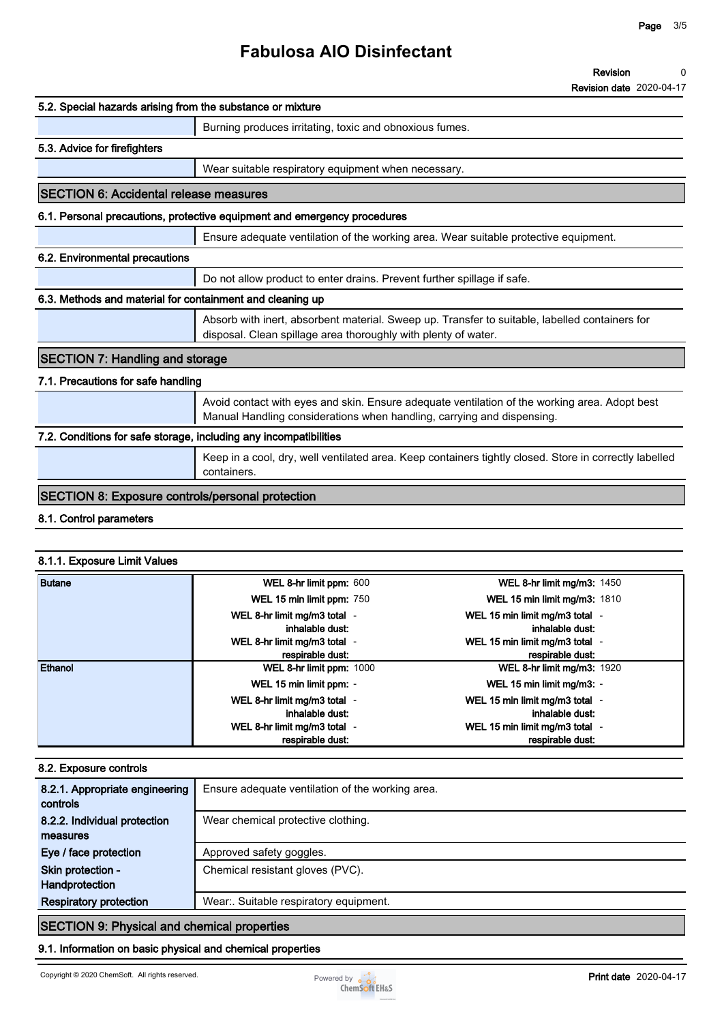# **Fabulosa AIO Disinfectant**

#### **Revision 0**

**Revision date 2020-04-17**

| 5.2. Special hazards arising from the substance or mixture        |                                                                                                                                                                         |  |  |  |
|-------------------------------------------------------------------|-------------------------------------------------------------------------------------------------------------------------------------------------------------------------|--|--|--|
|                                                                   | Burning produces irritating, toxic and obnoxious fumes.                                                                                                                 |  |  |  |
| 5.3. Advice for firefighters                                      |                                                                                                                                                                         |  |  |  |
|                                                                   | Wear suitable respiratory equipment when necessary.                                                                                                                     |  |  |  |
| <b>SECTION 6: Accidental release measures</b>                     |                                                                                                                                                                         |  |  |  |
|                                                                   | 6.1. Personal precautions, protective equipment and emergency procedures                                                                                                |  |  |  |
|                                                                   | Ensure adequate ventilation of the working area. Wear suitable protective equipment.                                                                                    |  |  |  |
| 6.2. Environmental precautions                                    |                                                                                                                                                                         |  |  |  |
|                                                                   | Do not allow product to enter drains. Prevent further spillage if safe.                                                                                                 |  |  |  |
| 6.3. Methods and material for containment and cleaning up         |                                                                                                                                                                         |  |  |  |
|                                                                   | Absorb with inert, absorbent material. Sweep up. Transfer to suitable, labelled containers for<br>disposal. Clean spillage area thoroughly with plenty of water.        |  |  |  |
| <b>SECTION 7: Handling and storage</b>                            |                                                                                                                                                                         |  |  |  |
| 7.1. Precautions for safe handling                                |                                                                                                                                                                         |  |  |  |
|                                                                   | Avoid contact with eyes and skin. Ensure adequate ventilation of the working area. Adopt best<br>Manual Handling considerations when handling, carrying and dispensing. |  |  |  |
| 7.2. Conditions for safe storage, including any incompatibilities |                                                                                                                                                                         |  |  |  |
|                                                                   | Keep in a cool, dry, well ventilated area. Keep containers tightly closed. Store in correctly labelled<br>containers.                                                   |  |  |  |
| <b>SECTION 8: Exposure controls/personal protection</b>           |                                                                                                                                                                         |  |  |  |
| 8.1. Control parameters                                           |                                                                                                                                                                         |  |  |  |

#### **8.1.1. Exposure Limit Values**

| <b>Butane</b> | WEL 8-hr limit ppm: 600                          | WEL 8-hr limit mg/m3: 1450                         |
|---------------|--------------------------------------------------|----------------------------------------------------|
|               | WEL 15 min limit ppm: 750                        | <b>WEL 15 min limit mg/m3: 1810</b>                |
|               | WEL 8-hr limit mg/m3 total -<br>inhalable dust:  | WEL 15 min limit mg/m3 total -<br>inhalable dust:  |
|               | WEL 8-hr limit mg/m3 total -<br>respirable dust: | WEL 15 min limit mg/m3 total -<br>respirable dust: |
| Ethanol       | WEL 8-hr limit ppm: 1000                         | <b>WEL 8-hr limit mg/m3: 1920</b>                  |
|               | WEL 15 min limit ppm: -                          | WEL 15 min limit mg/m3: -                          |
|               | WEL 8-hr limit mg/m3 total -<br>inhalable dust:  | WEL 15 min limit mg/m3 total -<br>inhalable dust:  |
|               | WEL 8-hr limit mg/m3 total -<br>respirable dust: | WEL 15 min limit mg/m3 total -<br>respirable dust: |

#### **8.2. Exposure controls**

| 8.2.1. Appropriate engineering<br>controls         | Ensure adequate ventilation of the working area. |  |
|----------------------------------------------------|--------------------------------------------------|--|
| 8.2.2. Individual protection                       | Wear chemical protective clothing.               |  |
| measures                                           |                                                  |  |
| Eye / face protection                              | Approved safety goggles.                         |  |
| Skin protection -                                  | Chemical resistant gloves (PVC).                 |  |
| Handprotection                                     |                                                  |  |
| <b>Respiratory protection</b>                      | Wear: Suitable respiratory equipment.            |  |
| <b>SECTION 9: Physical and chemical properties</b> |                                                  |  |

## **9.1. Information on basic physical and chemical properties**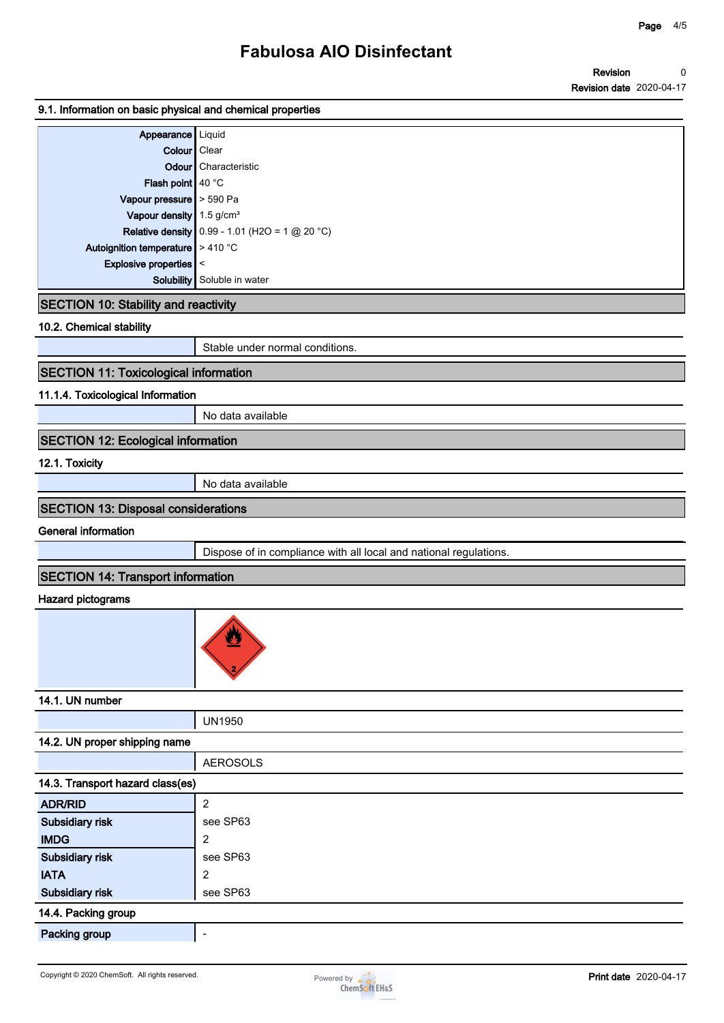#### **Revision Revision date 2020-04-17 0**

#### **9.1. Information on basic physical and chemical properties**

| Appearance   Liquid                                   |                                                       |
|-------------------------------------------------------|-------------------------------------------------------|
| Colour   Clear                                        |                                                       |
|                                                       | <b>Odour</b> Characteristic                           |
| Flash point   40 °C                                   |                                                       |
| Vapour pressure > 590 Pa                              |                                                       |
| Vapour density 1.5 g/cm <sup>3</sup>                  |                                                       |
|                                                       | <b>Relative density</b> 0.99 - 1.01 (H2O = 1 @ 20 °C) |
| Autoignition temperature $\blacktriangleright$ 410 °C |                                                       |
| Explosive properties $\vert \vert$ <                  |                                                       |
|                                                       | <b>Solubility</b> Soluble in water                    |

### **SECTION 10: Stability and reactivity**

**10.2. Chemical stability**

**Stable under normal conditions.**

# **SECTION 11: Toxicological information**

#### **11.1.4. Toxicological Information**

**No data available**

### **SECTION 12: Ecological information**

**12.1. Toxicity**

**No data available**

### **SECTION 13: Disposal considerations**

**General information**

**Dispose of in compliance with all local and national regulations.**

## **SECTION 14: Transport information**

#### **Hazard pictograms**



**14.1. UN number**

# **UN1950**

#### **14.2. UN proper shipping name**

|                                  | <b>AEROSOLS</b>          |  |  |  |
|----------------------------------|--------------------------|--|--|--|
| 14.3. Transport hazard class(es) |                          |  |  |  |
| <b>ADR/RID</b>                   | $\overline{2}$           |  |  |  |
| Subsidiary risk                  | see SP63                 |  |  |  |
| <b>IMDG</b>                      | 2                        |  |  |  |
| Subsidiary risk                  | see SP63                 |  |  |  |
| <b>IATA</b>                      | 2                        |  |  |  |
| Subsidiary risk                  | see SP63                 |  |  |  |
| 14.4. Packing group              |                          |  |  |  |
| <b>Packing group</b>             | $\overline{\phantom{0}}$ |  |  |  |